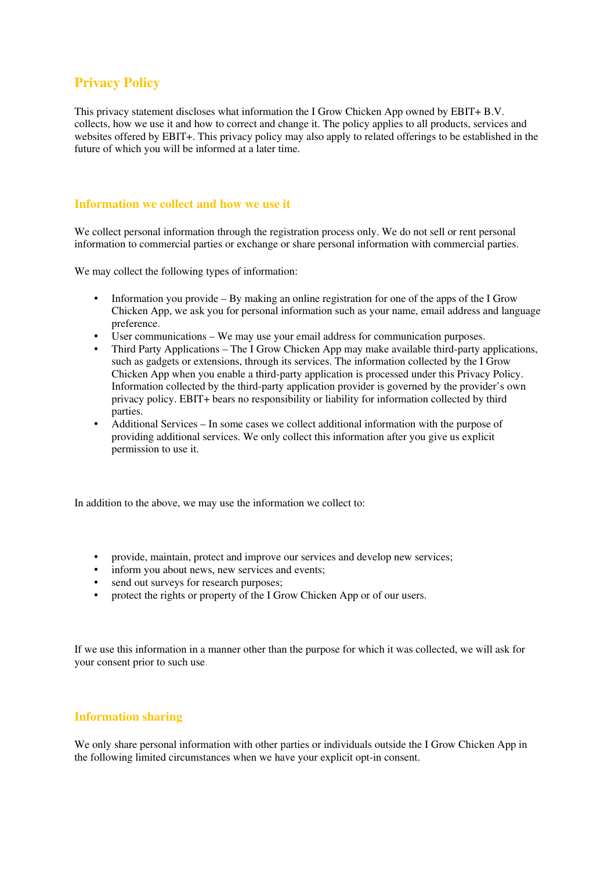# **Privacy Policy**

This privacy statement discloses what information the I Grow Chicken App owned by EBIT+ B.V. collects, how we use it and how to correct and change it. The policy applies to all products, services and websites offered by EBIT+. This privacy policy may also apply to related offerings to be established in the future of which you will be informed at a later time.

## **Information we collect and how we use it**

We collect personal information through the registration process only. We do not sell or rent personal information to commercial parties or exchange or share personal information with commercial parties.

We may collect the following types of information:

- Information you provide By making an online registration for one of the apps of the I Grow Chicken App, we ask you for personal information such as your name, email address and language preference.
- User communications We may use your email address for communication purposes.
- Third Party Applications The I Grow Chicken App may make available third-party applications, such as gadgets or extensions, through its services. The information collected by the I Grow Chicken App when you enable a third-party application is processed under this Privacy Policy. Information collected by the third-party application provider is governed by the provider's own privacy policy. EBIT+ bears no responsibility or liability for information collected by third parties.
- Additional Services In some cases we collect additional information with the purpose of providing additional services. We only collect this information after you give us explicit permission to use it.

In addition to the above, we may use the information we collect to:

- provide, maintain, protect and improve our services and develop new services;
- inform you about news, new services and events;
- send out surveys for research purposes;
- protect the rights or property of the I Grow Chicken App or of our users.

If we use this information in a manner other than the purpose for which it was collected, we will ask for your consent prior to such use.

### **Information sharing**

We only share personal information with other parties or individuals outside the I Grow Chicken App in the following limited circumstances when we have your explicit opt-in consent.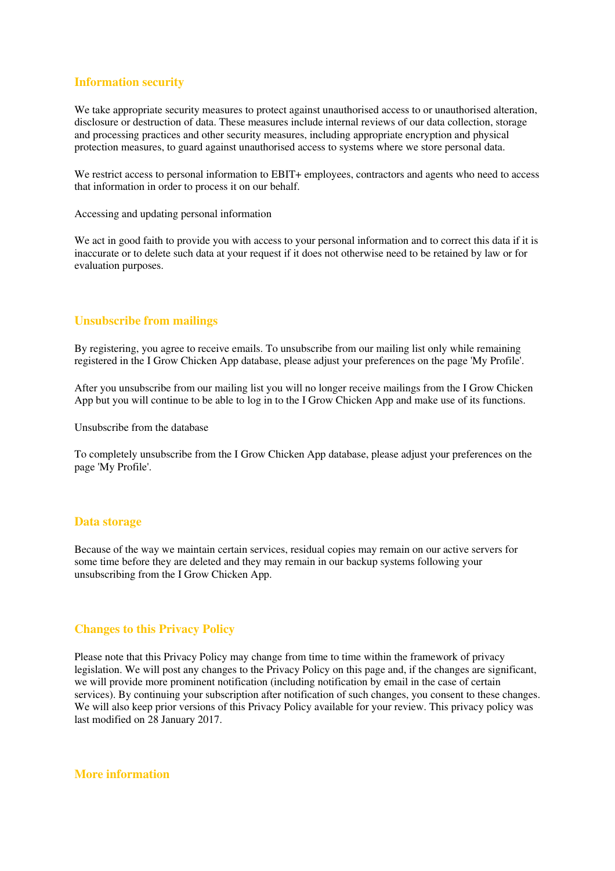# **Information security**

We take appropriate security measures to protect against unauthorised access to or unauthorised alteration, disclosure or destruction of data. These measures include internal reviews of our data collection, storage and processing practices and other security measures, including appropriate encryption and physical protection measures, to guard against unauthorised access to systems where we store personal data.

We restrict access to personal information to EBIT+ employees, contractors and agents who need to access that information in order to process it on our behalf.

Accessing and updating personal information

We act in good faith to provide you with access to your personal information and to correct this data if it is inaccurate or to delete such data at your request if it does not otherwise need to be retained by law or for evaluation purposes.

# **Unsubscribe from mailings**

By registering, you agree to receive emails. To unsubscribe from our mailing list only while remaining registered in the I Grow Chicken App database, please adjust your preferences on the page 'My Profile'.

After you unsubscribe from our mailing list you will no longer receive mailings from the I Grow Chicken App but you will continue to be able to log in to the I Grow Chicken App and make use of its functions.

Unsubscribe from the database

To completely unsubscribe from the I Grow Chicken App database, please adjust your preferences on the page 'My Profile'.

### **Data storage**

Because of the way we maintain certain services, residual copies may remain on our active servers for some time before they are deleted and they may remain in our backup systems following your unsubscribing from the I Grow Chicken App.

# **Changes to this Privacy Policy**

Please note that this Privacy Policy may change from time to time within the framework of privacy legislation. We will post any changes to the Privacy Policy on this page and, if the changes are significant, we will provide more prominent notification (including notification by email in the case of certain services). By continuing your subscription after notification of such changes, you consent to these changes. We will also keep prior versions of this Privacy Policy available for your review. This privacy policy was last modified on 28 January 2017.

**More information**